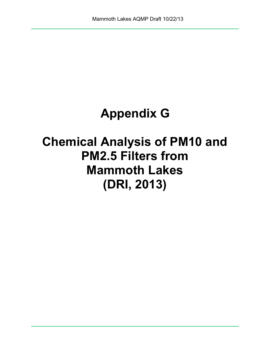# **Appendix G**

# **Chemical Analysis of PM10 and PM2.5 Filters from Mammoth Lakes (DRI, 2013)**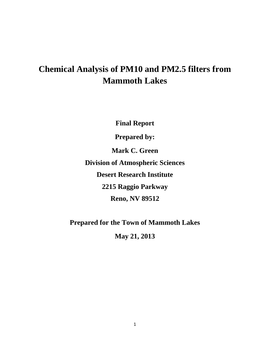# **Chemical Analysis of PM10 and PM2.5 filters from Mammoth Lakes**

**Final Report** 

**Prepared by:** 

**Mark C. Green** 

**Division of Atmospheric Sciences** 

**Desert Research Institute** 

**2215 Raggio Parkway** 

**Reno, NV 89512** 

**Prepared for the Town of Mammoth Lakes** 

**May 21, 2013**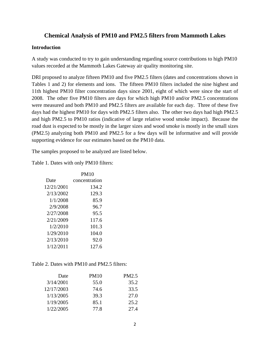# **Chemical Analysis of PM10 and PM2.5 filters from Mammoth Lakes**

### **Introduction**

A study was conducted to try to gain understanding regarding source contributions to high PM10 values recorded at the Mammoth Lakes Gateway air quality monitoring site.

DRI proposed to analyze fifteen PM10 and five PM2.5 filters (dates and concentrations shown in Tables 1 and 2) for elements and ions. The fifteen PM10 filters included the nine highest and 11th highest PM10 filter concentration days since 2001, eight of which were since the start of 2008. The other five PM10 filters are days for which high PM10 and/or PM2.5 concentrations were measured and both PM10 and PM2.5 filters are available for each day. Three of these five days had the highest PM10 for days with PM2.5 filters also. The other two days had high PM2.5 and high PM2.5 to PM10 ratios (indicative of large relative wood smoke impact). Because the road dust is expected to be mostly in the larger sizes and wood smoke is mostly in the small sizes (PM2.5) analyzing both PM10 and PM2.5 for a few days will be informative and will provide supporting evidence for our estimates based on the PM10 data.

The samples proposed to be analyzed are listed below.

Table 1. Dates with only PM10 filters:

|            | <b>PM10</b>   |
|------------|---------------|
| Date       | concentration |
| 12/21/2001 | 134.2         |
| 2/13/2002  | 129.3         |
| 1/1/2008   | 85.9          |
| 2/9/2008   | 96.7          |
| 2/27/2008  | 95.5          |
| 2/21/2009  | 117.6         |
| 1/2/2010   | 101.3         |
| 1/29/2010  | 104.0         |
| 2/13/2010  | 92.0          |
| 1/12/2011  | 127.6         |

#### Table 2. Dates with PM10 and PM2.5 filters:

| Date       | <b>PM10</b> | PM2.5 |
|------------|-------------|-------|
| 3/14/2001  | 55.0        | 35.2  |
| 12/17/2003 | 74.6        | 33.5  |
| 1/13/2005  | 39.3        | 27.0  |
| 1/19/2005  | 85.1        | 25.2  |
| 1/22/2005  | 77.8        | 27.4  |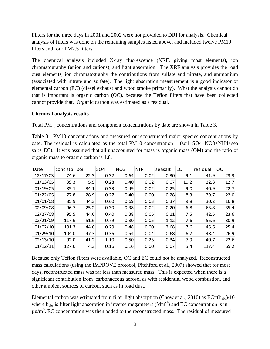Filters for the three days in 2001 and 2002 were not provided to DRI for analysis. Chemical analysis of filters was done on the remaining samples listed above, and included twelve PM10 filters and four PM2.5 filters.

The chemical analysis included X-ray fluorescence (XRF, giving most elements), ion chromatography (anion and cations), and light absorption. The XRF analysis provides the road dust elements, ion chromatography the contributions from sulfate and nitrate, and ammonium (associated with nitrate and sulfate). The light absorption measurement is a good indicator of elemental carbon (EC) (diesel exhaust and wood smoke primarily). What the analysis cannot do that is important is organic carbon (OC), because the Teflon filters that have been collected cannot provide that. Organic carbon was estimated as a residual.

#### **Chemical analysis results**

Total PM<sub>10</sub> concentrations and component concentrations by date are shown in Table 3.

Table 3. PM10 concentrations and measured or reconstructed major species concentrations by date. The residual is calculated as the total PM10 concentration – (soil+SO4+NO3+NH4+sea salt+ EC). It was assumed that all unaccounted for mass is organic mass (OM) and the ratio of organic mass to organic carbon is 1.8.

| Date     | conc stp | soil | SO <sub>4</sub> | NO <sub>3</sub> | NH4  | seasalt | EC   | residual | <b>OC</b> |
|----------|----------|------|-----------------|-----------------|------|---------|------|----------|-----------|
| 12/17/03 | 74.6     | 22.3 | 0.32            | 0.64            | 0.02 | 0.30    | 9.1  | 41.9     | 23.3      |
| 01/13/05 | 39.3     | 5.5  | 0.28            | 0.40            | 0.02 | 0.07    | 10.2 | 22.8     | 12.7      |
| 01/19/05 | 85.1     | 34.1 | 0.33            | 0.49            | 0.02 | 0.25    | 9.0  | 40.9     | 22.7      |
| 01/22/05 | 77.8     | 28.9 | 0.27            | 0.40            | 0.00 | 0.28    | 8.3  | 39.7     | 22.0      |
| 01/01/08 | 85.9     | 44.3 | 0.60            | 0.69            | 0.03 | 0.37    | 9.8  | 30.2     | 16.8      |
| 02/09/08 | 96.7     | 25.2 | 0.30            | 0.38            | 0.02 | 0.20    | 6.8  | 63.8     | 35.4      |
| 02/27/08 | 95.5     | 44.6 | 0.40            | 0.38            | 0.05 | 0.11    | 7.5  | 42.5     | 23.6      |
| 02/21/09 | 117.6    | 51.6 | 0.79            | 0.80            | 0.05 | 1.12    | 7.6  | 55.6     | 30.9      |
| 01/02/10 | 101.3    | 44.6 | 0.29            | 0.48            | 0.00 | 2.68    | 7.6  | 45.6     | 25.4      |
| 01/29/10 | 104.0    | 47.3 | 0.36            | 0.54            | 0.04 | 0.68    | 6.7  | 48.4     | 26.9      |
| 02/13/10 | 92.0     | 41.2 | 1.10            | 0.50            | 0.23 | 0.34    | 7.9  | 40.7     | 22.6      |
| 01/12/11 | 127.6    | 4.3  | 0.16            | 0.16            | 0.00 | 0.07    | 5.4  | 117.4    | 65.2      |

Because only Teflon filters were available, OC and EC could not be analyzed. Reconstructed mass calculations (using the IMPROVE protocol, Pitchford et al., 2007) showed that for most days, reconstructed mass was far less than measured mass. This is expected when there is a significant contribution from carbonaceous aerosol as with residential wood combustion, and other ambient sources of carbon, such as in road dust.

Elemental carbon was estimated from filter light absorption (Chow et al., 2010) as  $EC=(b_{abs})/10$ where  $b_{\text{abs}}$  is filter light absorption in inverse megameters (Mm<sup>-1</sup>) and EC concentration is in  $\mu$ g/m<sup>3</sup>. EC concentration was then added to the reconstructed mass. The residual of measured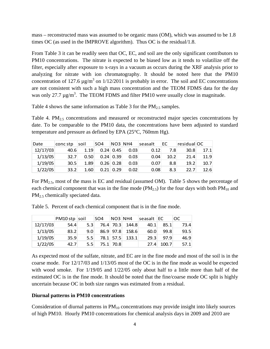mass – reconstructed mass was assumed to be organic mass (OM), which was assumed to be 1.8 times OC (as used in the IMPROVE algorithm). Thus OC is the residual/1.8.

From Table 3 it can be readily seen that OC, EC, and soil are the only significant contributors to PM10 concentrations. The nitrate is expected to be biased low as it tends to volatilize off the filter, especially after exposure to x-rays in a vacuum as occurs during the XRF analysis prior to analyzing for nitrate with ion chromatography. It should be noted here that the PM10 concentration of 127.6  $\mu$ g/m<sup>3</sup> on 1/12/2011 is probably in error. The soil and EC concentrations are not consistent with such a high mass concentration and the TEOM FDMS data for the day was only 27.7  $\mu$ g/m<sup>3</sup>. The TEOM FDMS and filter PM10 were usually close in magnitude.

Table 4 shows the same information as Table 3 for the  $PM_{2.5}$  samples.

Table 4.  $PM_{2.5}$  concentrations and measured or reconstructed major species concentrations by date. To be comparable to the PM10 data, the concentrations have been adjusted to standard temperature and pressure as defined by EPA (25°C, 760mm Hg).

| Date     | conc stp | soil | SO <sub>4</sub> | NO3 NH4               |      | seasalt | EC   | residual OC |      |
|----------|----------|------|-----------------|-----------------------|------|---------|------|-------------|------|
| 12/17/03 | 40.6     | 1.19 |                 | $0.24 \mid 0.45 \mid$ | 0.03 | 0.12    | 7.8  | 30.8        | 17.1 |
| 1/13/05  | 32.7     | 0.50 |                 | $0.24 \mid 0.39 \mid$ | 0.03 | 0.04    | 10.2 | 21.4        | 11.9 |
| 1/19/05  | 30.5     | 1.89 |                 | $0.26$ 0.28           | 0.03 | 0.07    | 8.8  | 19.2        | 10.7 |
| 1/22/05  | 33.2     | 1.60 |                 | $0.21 \ 0.29$         | 0.02 | 0.08    | 8.3  | 22.7        | 12.6 |

For  $PM_{2.5}$ , most of the mass is EC and residual (assumed OM). Table 5 shows the percentage of each chemical component that was in the fine mode ( $PM_{2,5}$ ) for the four days with both  $PM_{10}$  and PM<sub>2.5</sub> chemically speciated data.

|          | PM10 stp soil |                  | SO <sub>4</sub> | NO3 NH4   |                 | seasalt EC |       | OC.  |
|----------|---------------|------------------|-----------------|-----------|-----------------|------------|-------|------|
| 12/17/03 | 54.4          | 5.3 <sup>°</sup> |                 |           | 76.4 70.3 144.8 | 40.1       | 85.1  | 73.4 |
| 1/13/05  | 83.2          | 9.0              |                 |           | 86.9 97.8 158.6 | 60.0       | 99.8  | 93.5 |
| 1/19/05  | 35.9          | 5.5 <sub>1</sub> |                 |           | 78.1 57.5 133.1 | 29.3       | 97.9  | 46.9 |
| 1/22/05  | 42.7          | 5.5              |                 | 75.1 70.8 |                 | 27.4       | 100.7 | 57.1 |

Table 5. Percent of each chemical component that is in the fine mode.

As expected most of the sulfate, nitrate, and EC are in the fine mode and most of the soil is in the coarse mode. For 12/17/03 and 1/13/05 most of the OC is in the fine mode as would be expected with wood smoke. For 1/19/05 and 1/22/05 only about half to a little more than half of the estimated OC is in the fine mode. It should be noted that the fine/coarse mode OC split is highly uncertain because OC in both size ranges was estimated from a residual.

# **Diurnal patterns in PM10 concentrations**

Consideration of diurnal patterns in  $PM_{10}$  concentrations may provide insight into likely sources of high PM10. Hourly PM10 concentrations for chemical analysis days in 2009 and 2010 are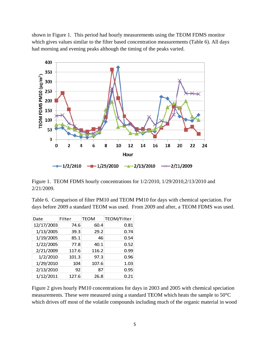shown in Figure 1. This period had hourly measurements using the TEOM FDMS monitor which gives values similar to the filter based concentration measurements (Table 6). All days had morning and evening peaks although the timing of the peaks varied.



Figure 1. TEOM FDMS hourly concentrations for 1/2/2010, 1/29/2010, 2/13/2010 and  $2/21/2009$ .

Table 6. Comparison of filter PM10 and TEOM PM10 for days with chemical speciation. For days before 2009 a standard TEOM was used. From 2009 and after, a TEOM FDMS was used.

| Date       | Filter | <b>TEOM</b> | <b>TEOM/Filter</b> |
|------------|--------|-------------|--------------------|
| 12/17/2003 | 74.6   | 60.4        | 0.81               |
| 1/13/2005  | 39.3   | 29.2        | 0.74               |
| 1/19/2005  | 85.1   | 46          | 0.54               |
| 1/22/2005  | 77.8   | 40.1        | 0.52               |
| 2/21/2009  | 117.6  | 116.2       | 0.99               |
| 1/2/2010   | 101.3  | 97.3        | 0.96               |
| 1/29/2010  | 104    | 107.6       | 1.03               |
| 2/13/2010  | 92     | 87          | 0.95               |
| 1/12/2011  | 127.6  | 26.8        | 0.21               |

Figure 2 gives hourly PM10 concentrations for days in 2003 and 2005 with chemical speciation measurements. These were measured using a standard TEOM which heats the sample to 50°C which drives off most of the volatile compounds including much of the organic material in wood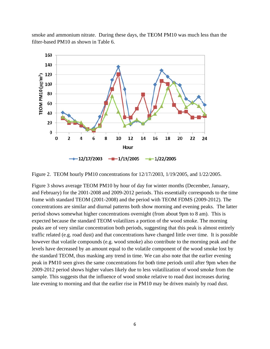smoke and ammonium nitrate. During these days, the TEOM PM10 was much less than the filter-based PM10 as shown in Table 6.



Figure 2. TEOM hourly PM10 concentrations for 12/17/2003, 1/19/2005, and 1/22/2005.

Figure 3 shows average TEOM PM10 by hour of day for winter months (December, January, and February) for the 2001-2008 and 2009-2012 periods. This essentially corresponds to the time frame with standard TEOM (2001-2008) and the period with TEOM FDMS (2009-2012). The concentrations are similar and diurnal patterns both show morning and evening peaks. The latter period shows somewhat higher concentrations overnight (from about 9pm to 8 am). This is expected because the standard TEOM volatilizes a portion of the wood smoke. The morning peaks are of very similar concentration both periods, suggesting that this peak is almost entirely traffic related (e.g. road dust) and that concentrations have changed little over time. It is possible however that volatile compounds (e.g. wood smoke) also contribute to the morning peak and the levels have decreased by an amount equal to the volatile component of the wood smoke lost by the standard TEOM, thus masking any trend in time. We can also note that the earlier evening peak in PM10 seen gives the same concentrations for both time periods until after 9pm when the 2009-2012 period shows higher values likely due to less volatilization of wood smoke from the sample. This suggests that the influence of wood smoke relative to road dust increases during late evening to morning and that the earlier rise in PM10 may be driven mainly by road dust.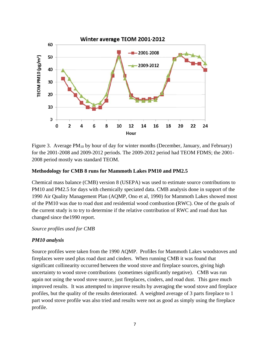

Figure 3. Average  $PM_{10}$  by hour of day for winter months (December, January, and February) for the 2001-2008 and 2009-2012 periods. The 2009-2012 period had TEOM FDMS; the 2001-2008 period mostly was standard TEOM.

#### Methodology for CMB 8 runs for Mammoth Lakes PM10 and PM2.5

Chemical mass balance (CMB) version 8 (USEPA) was used to estimate source contributions to PM10 and PM2.5 for days with chemically speciated data. CMB analysis done in support of the 1990 Air Quality Management Plan (AQMP, Ono et al, 1990) for Mammoth Lakes showed most of the PM10 was due to road dust and residential wood combustion (RWC). One of the goals of the current study is to try to determine if the relative contribution of RWC and road dust has changed since the 1990 report.

#### Source profiles used for CMB

# **PM10** analysis

Source profiles were taken from the 1990 AQMP. Profiles for Mammoth Lakes woodstoves and fireplaces were used plus road dust and cinders. When running CMB it was found that significant collinearity occurred between the wood stove and fireplace sources, giving high uncertainty to wood stove contributions (sometimes significantly negative). CMB was run again not using the wood stove source, just fireplaces, cinders, and road dust. This gave much improved results. It was attempted to improve results by averaging the wood stove and fireplace profiles, but the quality of the results deteriorated. A weighted average of 3 parts fireplace to 1 part wood stove profile was also tried and results were not as good as simply using the fireplace profile.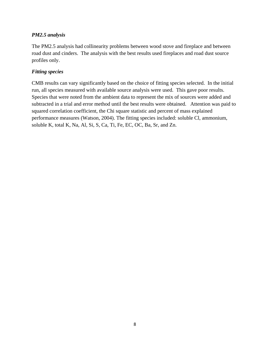# *PM2.5 analysis*

The PM2.5 analysis had collinearity problems between wood stove and fireplace and between road dust and cinders. The analysis with the best results used fireplaces and road dust source profiles only.

# *Fitting species*

CMB results can vary significantly based on the choice of fitting species selected. In the initial run, all species measured with available source analysis were used. This gave poor results. Species that were noted from the ambient data to represent the mix of sources were added and subtracted in a trial and error method until the best results were obtained. Attention was paid to squared correlation coefficient, the Chi square statistic and percent of mass explained performance measures (Watson, 2004). The fitting species included: soluble Cl, ammonium, soluble K, total K, Na, Al, Si, S, Ca, Ti, Fe, EC, OC, Ba, Sr, and Zn.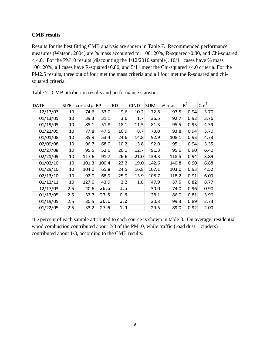# **CMB results**

Results for the best fitting CMB analysis are shown in Table 7. Recommended performance measures (Watson, 2004) are % mass accounted for 100±20%, R-squared>0.80, and Chi-squared  $<$  4.0. For the PM10 results (discounting the  $1/12/2010$  sample), 10/11 cases have % mass 100±20%, all cases have R-squared>0.80, and 5/11 meet the Chi-squared <4.0 criteria. For the PM2.5 results, three out of four met the mass criteria and all four met the R-squared and chisquared criteria.

| <b>DATE</b> | <b>SIZE</b> | $\frac{1}{2}$ concstp | <b>FP</b> | <b>RD</b> | <b>CIND</b> | <b>SUM</b> | % mass | $R^2$ | $\text{Chi}^2$ |
|-------------|-------------|-----------------------|-----------|-----------|-------------|------------|--------|-------|----------------|
| 12/17/03    | 10          | 74.6                  | 53.0      | 9.6       | 10.2        | 72.8       | 97.5   | 0.94  | 3.70           |
| 01/13/05    | 10          | 39.3                  | 31.1      | 3.6       | 1.7         | 36.5       | 92.7   | 0.92  | 3.76           |
| 01/19/05    | 10          | 85.1                  | 51.8      | 18.1      | 11.5        | 81.3       | 95.5   | 0.93  | 4.39           |
| 01/22/05    | 10          | 77.8                  | 47.5      | 16.9      | 8.7         | 73.0       | 93.8   | 0.94  | 3.70           |
| 01/01/08    | 10          | 85.9                  | 53.4      | 24.6      | 14.8        | 92.9       | 108.1  | 0.93  | 4.73           |
| 02/09/08    | 10          | 96.7                  | 68.0      | 10.2      | 13.8        | 92.0       | 95.1   | 0.94  | 3.35           |
| 02/27/08    | 10          | 95.5                  | 52.6      | 26.1      | 12.7        | 91.3       | 95.6   | 0.90  | 6.40           |
| 02/21/09    | 10          | 117.6                 | 91.7      | 26.6      | 21.0        | 139.3      | 118.5  | 0.94  | 3.89           |
| 01/02/10    | 10          | 101.3                 | 100.4     | 23.2      | 19.0        | 142.6      | 140.8  | 0.90  | 6.88           |
| 01/29/10    | 10          | 104.0                 | 65.8      | 24.5      | 16.8        | 107.1      | 103.0  | 0.93  | 4.52           |
| 02/13/10    | 10          | 92.0                  | 68.9      | 25.9      | 13.9        | 108.7      | 118.2  | 0.91  | 6.09           |
| 01/12/11    | 10          | 127.6                 | 43.9      | 2.2       | 1.8         | 47.9       | 37.5   | 0.82  | 8.77           |
| 12/17/03    | 2.5         | 40.6                  | 28.6      | 1.5       |             | 30.0       | 74.0   | 0.96  | 0.90           |
| 01/13/05    | 2.5         | 32.7                  | 27.5      | 0.6       |             | 28.1       | 86.0   | 0.81  | 3.90           |
| 01/19/05    | 2.5         | 30.5                  | 28.1      | 2.2       |             | 30.3       | 99.3   | 0.89  | 2.73           |
| 01/22/05    | 2.5         | 33.2                  | 27.6      | 1.9       |             | 29.5       | 89.0   | 0.92  | 2.00           |

Table 7. CMB attribution results and performance statistics.

The percent of each sample attributed to each source is shown in table 8. On average, residential wood combustion contributed about 2/3 of the PM10, while traffic (road dust + cinders) contributed about 1/3, according to the CMB results.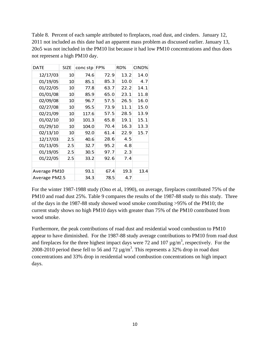Table 8. Percent of each sample attributed to fireplaces, road dust, and cinders. January 12, 2011 not included as this date had an apparent mass problem as discussed earlier. January 13, 20o5 was not included in the PM10 list because it had low PM10 concentrations and thus does not represent a high PM10 day.

| <b>DATE</b>   | <b>SIZE</b> | conc stp | FP%  | RD%  | CIND% |
|---------------|-------------|----------|------|------|-------|
| 12/17/03      | 10          | 74.6     | 72.9 | 13.2 | 14.0  |
| 01/19/05      | 10          | 85.1     | 85.3 | 10.0 | 4.7   |
| 01/22/05      | 10          | 77.8     | 63.7 | 22.2 | 14.1  |
| 01/01/08      | 10          | 85.9     | 65.0 | 23.1 | 11.8  |
| 02/09/08      | 10          | 96.7     | 57.5 | 26.5 | 16.0  |
| 02/27/08      | 10          | 95.5     | 73.9 | 11.1 | 15.0  |
| 02/21/09      | 10          | 117.6    | 57.5 | 28.5 | 13.9  |
| 01/02/10      | 10          | 101.3    | 65.8 | 19.1 | 15.1  |
| 01/29/10      | 10          | 104.0    | 70.4 | 16.3 | 13.3  |
| 02/13/10      | 10          | 92.0     | 61.4 | 22.9 | 15.7  |
| 12/17/03      | 2.5         | 40.6     | 28.6 | 4.5  |       |
| 01/13/05      | 2.5         | 32.7     | 95.2 | 4.8  |       |
| 01/19/05      | 2.5         | 30.5     | 97.7 | 2.3  |       |
| 01/22/05      | 2.5         | 33.2     | 92.6 | 7.4  |       |
|               |             |          |      |      |       |
| Average PM10  |             | 93.1     | 67.4 | 19.3 | 13.4  |
| Average PM2.5 |             | 34.3     | 78.5 | 4.7  |       |

For the winter 1987-1988 study (Ono et al, 1990), on average, fireplaces contributed 75% of the PM10 and road dust 25%. Table 9 compares the results of the 1987-88 study to this study. Three of the days in the 1987-88 study showed wood smoke contributing >95% of the PM10; the current study shows no high PM10 days with greater than 75% of the PM10 contributed from wood smoke.

Furthermore, the peak contributions of road dust and residential wood combustion to PM10 appear to have diminished. For the 1987-88 study average contributions to PM10 from road dust and fireplaces for the three highest impact days were 72 and 107  $\mu$ g/m<sup>3</sup>, respectively. For the 2008-2010 period these fell to 56 and 72  $\mu$ g/m<sup>3</sup>. This represents a 32% drop in road dust concentrations and 33% drop in residential wood combustion concentrations on high impact days.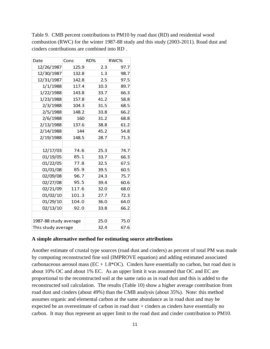| Date                  | Conc  | RD%  | RWC% |
|-----------------------|-------|------|------|
| 12/26/1987            | 125.9 | 2.3  | 97.7 |
| 12/30/1987            | 132.8 | 1.3  | 98.7 |
| 12/31/1987            | 142.8 | 2.5  | 97.5 |
| 1/1/1988              | 117.4 | 10.3 | 89.7 |
| 1/22/1988             | 143.8 | 33.7 | 66.3 |
| 1/23/1988             | 157.8 | 41.2 | 58.8 |
| 2/3/1988              | 104.3 | 31.5 | 68.5 |
| 2/5/1988              | 148.2 | 33.8 | 66.2 |
| 2/6/1988              | 160   | 31.2 | 68.8 |
| 2/13/1988             | 137.6 | 38.8 | 61.2 |
| 2/14/1988             | 144   | 45.2 | 54.8 |
| 2/19/1988             | 148.5 | 28.7 | 71.3 |
|                       |       |      |      |
| 12/17/03              | 74.6  | 25.3 | 74.7 |
| 01/19/05              | 85.1  | 33.7 | 66.3 |
| 01/22/05              | 77.8  | 32.5 | 67.5 |
| 01/01/08              | 85.9  | 39.5 | 60.5 |
| 02/09/08              | 96.7  | 24.3 | 75.7 |
| 02/27/08              | 95.5  | 39.4 | 60.6 |
| 02/21/09              | 117.6 | 32.0 | 68.0 |
| 01/02/10              | 101.3 | 27.7 | 72.3 |
| 01/29/10              | 104.0 | 36.0 | 64.0 |
| 02/13/10              | 92.0  | 33.8 | 66.2 |
|                       |       |      |      |
| 1987-88 study average |       | 25.0 | 75.0 |
| This study average    |       | 32.4 | 67.6 |

Table 9. CMB percent contributions to PM10 by road dust (RD) and residential wood combustion (RWC) for the winter 1987-88 study and this study (2003-2011). Road dust and cinders contributions are combined into RD .

#### **A simple alternative method for estimating source attributions**

Another estimate of crustal type sources (road dust and cinders) as percent of total PM was made by computing reconstructed fine soil (IMPROVE equation) and adding estimated associated carbonaceous aerosol mass ( $EC + 1.8*OC$ ). Cinders have essentially no carbon, but road dust is about 10% OC and about 1% EC. As an upper limit it was assumed that OC and EC are proportional to the reconstructed soil at the same ratio as in road dust and this is added to the reconstructed soil calculation. The results (Table 10) show a higher average contribution from road dust and cinders (about 49%) than the CMB analysis (about 35%). Note: this method assumes organic and elemental carbon at the same abundance as in road dust and may be expected be an overestimate of carbon in road dust + cinders as cinders have essentially no carbon. It may thus represent an upper limit to the road dust and cinder contribution to PM10.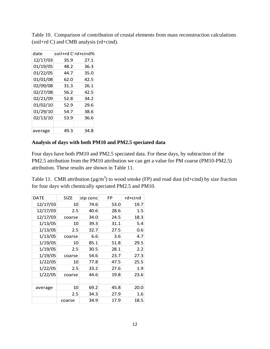| date     |      | soil+rd C rd+cind% |
|----------|------|--------------------|
| 12/17/03 | 35.9 | 27.1               |
| 01/19/05 | 48.2 | 36.3               |
| 01/22/05 | 44.7 | 35.0               |
| 01/01/08 | 62.0 | 42.5               |
| 02/09/08 | 31.3 | 26.1               |
| 02/27/08 | 56.2 | 42.5               |
| 02/21/09 | 52.8 | 34.2               |
| 01/02/10 | 52.9 | 29.6               |
| 01/29/10 | 54.7 | 38.6               |
| 02/13/10 | 53.9 | 36.6               |
|          |      |                    |
| average  | 49.3 | 34.8               |

Table 10. Comparison of contribution of crustal elements from mass reconstruction calculations (soil+rd C) and CMB analysis (rd+cind).

#### **Analysis of days with both PM10 and PM2.5 speciated data**

Four days have both PM10 and PM2.5 speciated data. For these days, by subtraction of the PM2.5 attribution from the PM10 attribution we can get a value for PM coarse (PM10-PM2.5) attribution. These results are shown in Table 11.

Table 11. CMB attribution ( $\mu$ g/m<sup>3</sup>) to wood smoke (FP) and road dust (rd+cind) by size fraction for four days with chemically speciated PM2.5 and PM10.

| DATE     | <b>SIZE</b> | stp conc | FP   | rd+cind |
|----------|-------------|----------|------|---------|
| 12/17/03 | 10          | 74.6     | 53.0 | 19.7    |
| 12/17/03 | 2.5         | 40.6     | 28.6 | 1.5     |
| 12/17/03 | coarse      | 34.0     | 24.5 | 18.3    |
| 1/13/05  | 10          | 39.3     | 31.1 | 5.4     |
| 1/13/05  | 2.5         | 32.7     | 27.5 | 0.6     |
| 1/13/05  | coarse      | 6.6      | 3.6  | 4.7     |
| 1/19/05  | 10          | 85.1     | 51.8 | 29.5    |
| 1/19/05  | 2.5         | 30.5     | 28.1 | 2.2     |
| 1/19/05  | coarse      | 54.6     | 23.7 | 27.3    |
| 1/22/05  | 10          | 77.8     | 47.5 | 25.5    |
| 1/22/05  | 2.5         | 33.2     | 27.6 | 1.9     |
| 1/22/05  | coarse      | 44.6     | 19.8 | 23.6    |
|          |             |          |      |         |
| average  | 10          | 69.2     | 45.8 | 20.0    |
|          | 2.5         | 34.3     | 27.9 | 1.6     |
|          | coarse      | 34.9     | 17.9 | 18.5    |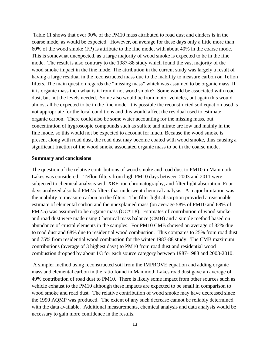Table 11 shows that over 90% of the PM10 mass attributed to road dust and cinders is in the coarse mode, as would be expected. However, on average for these days only a little more than 60% of the wood smoke (FP) is attribute to the fine mode, with about 40% in the coarse mode. This is somewhat unexpected, as a large majority of wood smoke is expected to be in the fine mode. The result is also contrary to the 1987-88 study which found the vast majority of the wood smoke impact in the fine mode. The attribution in the current study was largely a result of having a large residual in the reconstructed mass due to the inability to measure carbon on Teflon filters. The main question regards the "missing mass" which was assumed to be organic mass. If it is organic mass then what is it from if not wood smoke? Some would be associated with road dust, but not the levels needed. Some also would be from motor vehicles, but again this would almost all be expected to be in the fine mode. It is possible the reconstructed soil equation used is not appropriate for the local conditions and this would affect the residual used to estimate organic carbon. There could also be some water accounting for the missing mass, but concentration of hygroscopic compounds such as sulfate and nitrate are low and mainly in the fine mode, so this would not be expected to account for much. Because the wood smoke is present along with road dust, the road dust may become coated with wood smoke, thus causing a significant fraction of the wood smoke associated organic mass to be in the coarse mode.

#### **Summary and conclusions**

The question of the relative contributions of wood smoke and road dust to PM10 in Mammoth Lakes was considered. Teflon filters from high PM10 days between 2003 and 2011 were subjected to chemical analysis with XRF, ion chromatography, and filter light absorption. Four days analyzed also had PM2.5 filters that underwent chemical analysis. A major limitation was the inability to measure carbon on the filters. The filter light absorption provided a reasonable estimate of elemental carbon and the unexplained mass (on average 58% of PM10 and 68% of PM2.5) was assumed to be organic mass (OC\*1.8). Estimates of contribution of wood smoke and road dust were made using Chemical mass balance (CMB) and a simple method based on abundance of crustal elements in the samples. For PM10 CMB showed an average of 32% due to road dust and 68% due to residential wood combustion. This compares to 25% from road dust and 75% from residential wood combustion for the winter 1987-88 study. The CMB maximum contributions (average of 3 highest days) to PM10 from road dust and residential wood combustion dropped by about 1/3 for each source category between 1987-1988 and 2008-2010.

 A simpler method using reconstructed soil from the IMPROVE equation and adding organic mass and elemental carbon in the ratio found in Mammoth Lakes road dust gave an average of 49% contribution of road dust to PM10. There is likely some impact from other sources such as vehicle exhaust to the PM10 although these impacts are expected to be small in comparison to wood smoke and road dust. The relative contribution of wood smoke may have decreased since the 1990 AQMP was produced. The extent of any such decrease cannot be reliably determined with the data available. Additional measurements, chemical analysis and data analysis would be necessary to gain more confidence in the results.